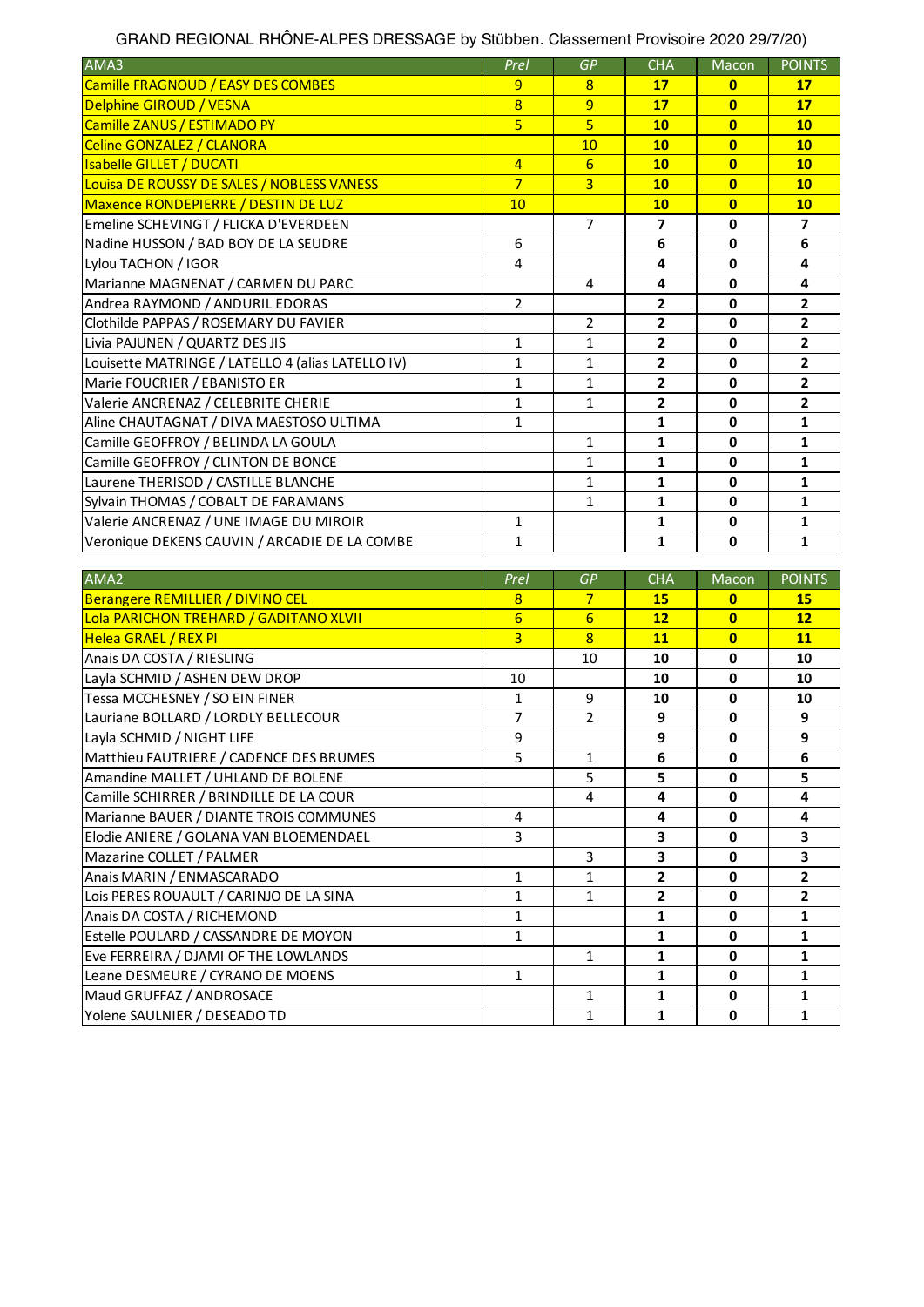| GRAND REGIONAL RHÖNE-ALPES DRESSAGE by Stübben. Classement Provisoire 2020 29/7/20) |  |
|-------------------------------------------------------------------------------------|--|
|-------------------------------------------------------------------------------------|--|

| AMA3                                              | <b>Prel</b>    | <b>GP</b>      | <b>CHA</b>     | Macon          | <b>POINTS</b>            |
|---------------------------------------------------|----------------|----------------|----------------|----------------|--------------------------|
| Camille FRAGNOUD / EASY DES COMBES                | 9              | 8              | 17             | $\mathbf{0}$   | 17                       |
| Delphine GIROUD / VESNA                           | $\overline{8}$ | 9              | 17             | $\mathbf{0}$   | 17                       |
| Camille ZANUS / ESTIMADO PY                       | 5              | 5              | 10             | $\mathbf{0}$   | 10                       |
| Celine GONZALEZ / CLANORA                         |                | 10             | 10             | $\mathbf{0}$   | 10                       |
| <b>Isabelle GILLET / DUCATI</b>                   | $\overline{4}$ | 6              | 10             | $\mathbf{0}$   | 10                       |
| Louisa DE ROUSSY DE SALES / NOBLESS VANESS        | $\overline{7}$ | 3              | 10             | $\overline{0}$ | 10                       |
| Maxence RONDEPIERRE / DESTIN DE LUZ               | 10             |                | 10             | $\mathbf{0}$   | 10                       |
| Emeline SCHEVINGT / FLICKA D'EVERDEEN             |                | $\overline{7}$ | 7              | $\mathbf 0$    | $\overline{\phantom{a}}$ |
| Nadine HUSSON / BAD BOY DE LA SEUDRE              | 6              |                | 6              | $\mathbf 0$    | 6                        |
| Lylou TACHON / IGOR                               | $\overline{4}$ |                | 4              | $\mathbf 0$    | 4                        |
| Marianne MAGNENAT / CARMEN DU PARC                |                | 4              | 4              | $\mathbf 0$    | 4                        |
| Andrea RAYMOND / ANDURIL EDORAS                   | $\mathcal{P}$  |                | $\overline{2}$ | $\mathbf{0}$   | $\overline{2}$           |
| Clothilde PAPPAS / ROSEMARY DU FAVIER             |                | $\overline{2}$ | $\overline{2}$ | $\mathbf 0$    | $\overline{2}$           |
| Livia PAJUNEN / QUARTZ DES JIS                    | $\mathbf{1}$   | $\mathbf{1}$   | $\overline{2}$ | $\mathbf{0}$   | $\overline{2}$           |
| Louisette MATRINGE / LATELLO 4 (alias LATELLO IV) | 1              | $\mathbf{1}$   | $\overline{2}$ | $\mathbf 0$    | $\overline{2}$           |
| Marie FOUCRIER / EBANISTO ER                      | $\mathbf{1}$   | $\mathbf{1}$   | $\overline{2}$ | $\mathbf{0}$   | $\overline{2}$           |
| Valerie ANCRENAZ / CELEBRITE CHERIE               | 1              | 1              | 2              | $\mathbf{0}$   | $\overline{2}$           |
| Aline CHAUTAGNAT / DIVA MAESTOSO ULTIMA           | $\mathbf{1}$   |                | $\mathbf{1}$   | $\mathbf 0$    | $\mathbf{1}$             |
| Camille GEOFFROY / BELINDA LA GOULA               |                | 1              | 1              | $\mathbf{0}$   | $\mathbf{1}$             |
| Camille GEOFFROY / CLINTON DE BONCE               |                | 1              | $\mathbf{1}$   | $\mathbf 0$    | $\mathbf{1}$             |
| Laurene THERISOD / CASTILLE BLANCHE               |                | $\mathbf{1}$   | $\mathbf{1}$   | $\mathbf 0$    | $\mathbf{1}$             |
| Sylvain THOMAS / COBALT DE FARAMANS               |                | $\mathbf{1}$   | $\mathbf{1}$   | $\mathbf 0$    | $\mathbf{1}$             |
| Valerie ANCRENAZ / UNE IMAGE DU MIROIR            | 1              |                | 1              | 0              | $\mathbf{1}$             |
| Veronique DEKENS CAUVIN / ARCADIE DE LA COMBE     | 1              |                | $\mathbf{1}$   | $\mathbf 0$    | $\mathbf{1}$             |

| AMA2                                    | Prel         | GP              | <b>CHA</b>     | <b>Macon</b> | <b>POINTS</b>  |
|-----------------------------------------|--------------|-----------------|----------------|--------------|----------------|
| Berangere REMILLIER / DIVINO CEL        | 8            | $\overline{7}$  | <b>15</b>      | $\bf{0}$     | 15             |
| Lola PARICHON TREHARD / GADITANO XLVII  | 6            | $6\overline{6}$ | 12             | $\mathbf{0}$ | 12             |
| Helea GRAEL / REX PI                    | 3            | $\overline{8}$  | 11             | $\mathbf{0}$ | 11             |
| Anais DA COSTA / RIESLING               |              | 10              | 10             | $\mathbf 0$  | 10             |
| Layla SCHMID / ASHEN DEW DROP           | 10           |                 | 10             | $\mathbf 0$  | 10             |
| Tessa MCCHESNEY / SO EIN FINER          | $\mathbf{1}$ | 9               | 10             | $\mathbf 0$  | 10             |
| Lauriane BOLLARD / LORDLY BELLECOUR     | 7            | $\overline{2}$  | 9              | $\mathbf 0$  | 9              |
| Layla SCHMID / NIGHT LIFE               | 9            |                 | 9              | $\mathbf 0$  | 9              |
| Matthieu FAUTRIERE / CADENCE DES BRUMES | 5            | 1               | 6              | 0            | 6              |
| Amandine MALLET / UHLAND DE BOLENE      |              | 5               | 5              | 0            | 5              |
| Camille SCHIRRER / BRINDILLE DE LA COUR |              | 4               | 4              | $\mathbf 0$  | 4              |
| Marianne BAUER / DIANTE TROIS COMMUNES  | 4            |                 | 4              | 0            | 4              |
| Elodie ANIERE / GOLANA VAN BLOEMENDAEL  | 3            |                 | 3              | $\mathbf 0$  | 3              |
| Mazarine COLLET / PALMER                |              | 3               | 3              | $\mathbf 0$  | 3              |
| Anais MARIN / ENMASCARADO               | $\mathbf{1}$ | 1               | $\overline{2}$ | $\mathbf 0$  | $\overline{2}$ |
| Lois PERES ROUAULT / CARINJO DE LA SINA | $\mathbf{1}$ | $\mathbf{1}$    | $\overline{2}$ | $\mathbf 0$  | $\overline{2}$ |
| Anais DA COSTA / RICHEMOND              | 1            |                 | 1              | 0            | 1              |
| Estelle POULARD / CASSANDRE DE MOYON    | $\mathbf{1}$ |                 | 1              | 0            | 1              |
| Eve FERREIRA / DJAMI OF THE LOWLANDS    |              | 1               | 1              | $\mathbf 0$  | 1              |
| Leane DESMEURE / CYRANO DE MOENS        | $\mathbf{1}$ |                 | $\mathbf{1}$   | $\mathbf 0$  | $\mathbf{1}$   |
| Maud GRUFFAZ / ANDROSACE                |              | 1               | 1              | 0            | 1              |
| Yolene SAULNIER / DESEADO TD            |              | 1               | 1              | 0            | 1              |